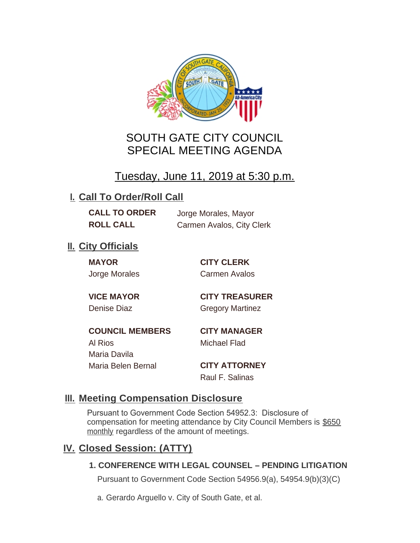

# SOUTH GATE CITY COUNCIL SPECIAL MEETING AGENDA

# Tuesday, June 11, 2019 at 5:30 p.m.

## **I. Call To Order/Roll Call**

**CALL TO ORDER** Jorge Morales, Mayor

**ROLL CALL** Carmen Avalos, City Clerk

## **II.** City Officials

**MAYOR CITY CLERK**

Jorge Morales Carmen Avalos

**VICE MAYOR CITY TREASURER** Denise Diaz Gregory Martinez

**COUNCIL MEMBERS CITY MANAGER** Al Rios Michael Flad Maria Davila Maria Belen Bernal **CITY ATTORNEY**

Raul F. Salinas

### **Meeting Compensation Disclosure III.**

Pursuant to Government Code Section 54952.3: Disclosure of compensation for meeting attendance by City Council Members is \$650 monthly regardless of the amount of meetings.

## **Closed Session: (ATTY) IV.**

### **1. CONFERENCE WITH LEGAL COUNSEL – PENDING LITIGATION**

Pursuant to Government Code Section 54956.9(a), 54954.9(b)(3)(C)

a. Gerardo Arguello v. City of South Gate, et al.